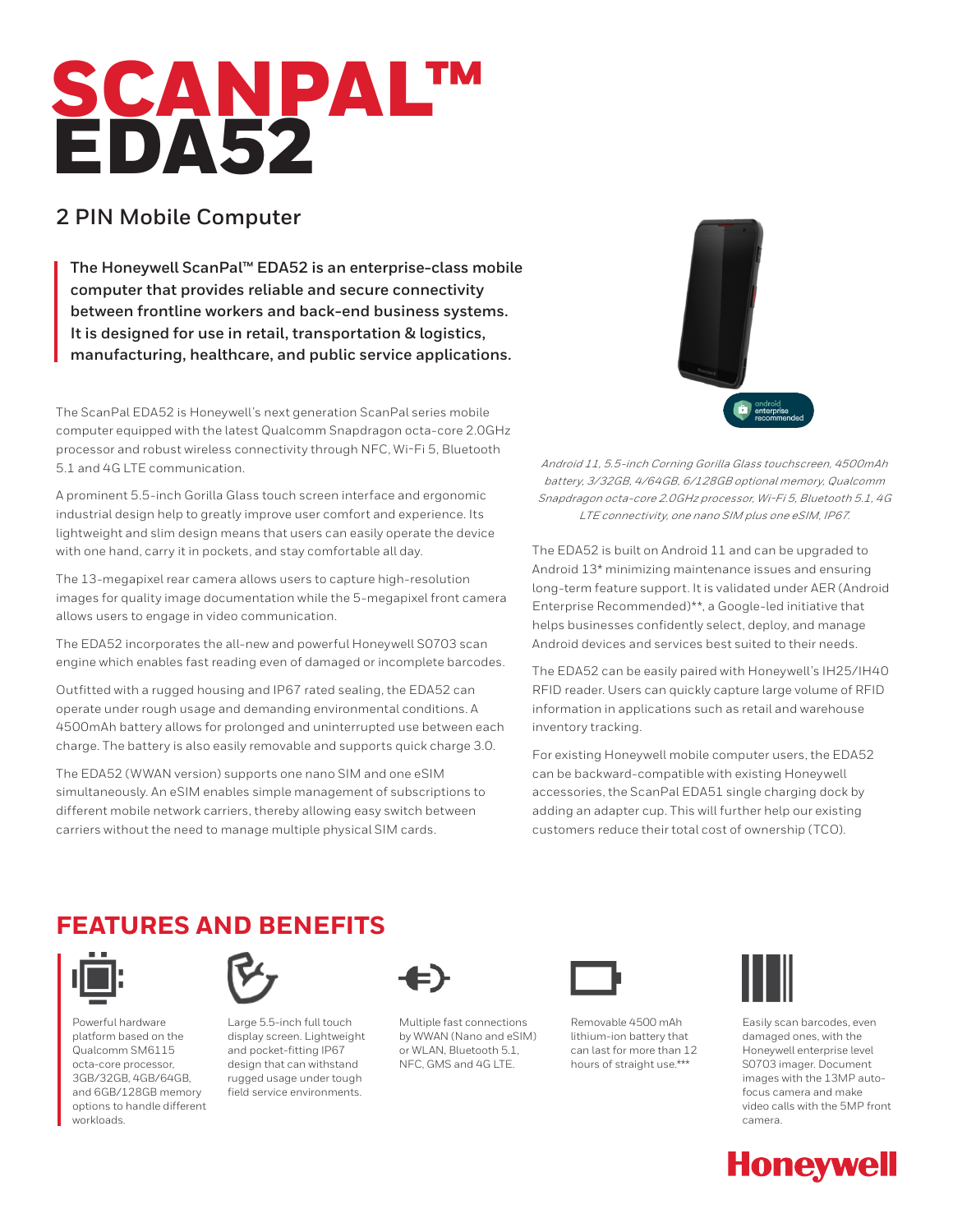# SCANPAL™ EDA52

## **2 PIN Mobile Computer**

**The Honeywell ScanPal™ EDA52 is an enterprise-class mobile computer that provides reliable and secure connectivity between frontline workers and back-end business systems. It is designed for use in retail, transportation & logistics, manufacturing, healthcare, and public service applications.**

The ScanPal EDA52 is Honeywell's next generation ScanPal series mobile computer equipped with the latest Qualcomm Snapdragon octa-core 2.0GHz processor and robust wireless connectivity through NFC, Wi-Fi 5, Bluetooth 5.1 and 4G LTE communication.

A prominent 5.5-inch Gorilla Glass touch screen interface and ergonomic industrial design help to greatly improve user comfort and experience. Its lightweight and slim design means that users can easily operate the device with one hand, carry it in pockets, and stay comfortable all day.

The 13-megapixel rear camera allows users to capture high-resolution images for quality image documentation while the 5-megapixel front camera allows users to engage in video communication.

The EDA52 incorporates the all-new and powerful Honeywell S0703 scan engine which enables fast reading even of damaged or incomplete barcodes.

Outfitted with a rugged housing and IP67 rated sealing, the EDA52 can operate under rough usage and demanding environmental conditions. A 4500mAh battery allows for prolonged and uninterrupted use between each charge. The battery is also easily removable and supports quick charge 3.0.

The EDA52 (WWAN version) supports one nano SIM and one eSIM simultaneously. An eSIM enables simple management of subscriptions to different mobile network carriers, thereby allowing easy switch between carriers without the need to manage multiple physical SIM cards.



Android 11, 5.5-inch Corning Gorilla Glass touchscreen, 4500mAh battery, 3/32GB, 4/64GB, 6/128GB optional memory, Qualcomm Snapdragon octa-core 2.0GHz processor, Wi-Fi 5, Bluetooth 5.1, 4G LTE connectivity, one nano SIM plus one eSIM, IP67.

The EDA52 is built on Android 11 and can be upgraded to Android 13\* minimizing maintenance issues and ensuring long-term feature support. It is validated under AER (Android Enterprise Recommended)\*\*, a Google-led initiative that helps businesses confidently select, deploy, and manage Android devices and services best suited to their needs.

The EDA52 can be easily paired with Honeywell's IH25/IH40 RFID reader. Users can quickly capture large volume of RFID information in applications such as retail and warehouse inventory tracking.

For existing Honeywell mobile computer users, the EDA52 can be backward-compatible with existing Honeywell accessories, the ScanPal EDA51 single charging dock by adding an adapter cup. This will further help our existing customers reduce their total cost of ownership (TCO).

# **FEATURES AND BENEFITS**



Powerful hardware platform based on the Qualcomm SM6115 octa-core processor, 3GB/32GB, 4GB/64GB, and 6GB/128GB memory options to handle different workloads.



Large 5.5-inch full touch display screen. Lightweight and pocket-fitting IP67 design that can withstand rugged usage under tough field service environments.



Multiple fast connections by WWAN (Nano and eSIM) or WLAN, Bluetooth 5.1, NFC, GMS and 4G LTE.



Removable 4500 mAh lithium-ion battery that can last for more than 12 hours of straight use.\*\*\*



Easily scan barcodes, even damaged ones, with the Honeywell enterprise level S0703 imager. Document images with the 13MP autofocus camera and make video calls with the 5MP front camera.